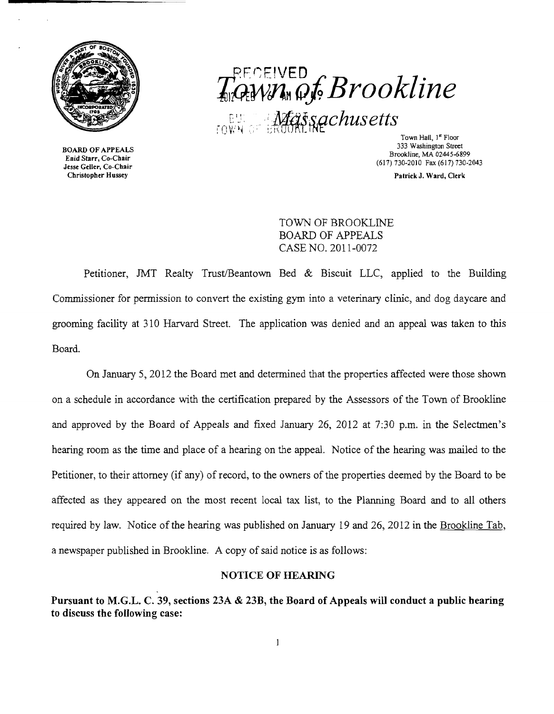

BOARD OF APPEALS Enid Starr, Co-Chair Jesse Geller, Co-Chair Christopher Husse}'

# $T_{\mathbb{Q}}^{\text{PECEIVED}}$  and  $\mathcal{G}_{\mathbb{Z}}$  and  $\mathcal{G}_{\mathbb{Z}}$  and  $\mathcal{G}_{\mathbb{Z}}$ LE: WEEL **MEELS SQCHUS etts**

333 Washington Street Brookline, MA 02445-6899 (617) 730-2010 Fax (617) 730-2043

Patrick J. Ward, Clerk

TOWN OF BROOKLINE BOARD OF APPEALS CASE NO. 2011-0072

Petitioner, JMT Realty Trust/Beantown Bed & Biscuit LLC, applied to the Building Commissioner for permission to convert the existing gym into a veterinary clinic, and dog daycare and grooming facility at 310 Harvard Street. The application was denied and an appeal was taken to this Board.

On January 5, 2012 the Board met and determined that the properties affected were those shown on a schedule in accordance with the certification prepared by the Assessors of the Town of Brookline and approved by the Board of Appeals and fixed January 26, 2012 at 7:30 p.m. in the Selectmen's hearing room as the time and place of a hearing on the appeal. Notice of the hearing was mailed to the Petitioner, to their attorney (if any) of record, to the owners of the properties deemed by the Board to be affected as they appeared on the most recent local tax list, to the Planning Board and to all others required by law. Notice of the hearing was published on January 19 and 26, 2012 in the Brookline Tab, a newspaper published in Brookline. A copy of said notice is as follows:

#### NOTICE OF HEARING

Pursuant to M.G.L. C. 39, sections 23A & 23B, the Board of Appeals will conduct a public hearing to discuss the following case: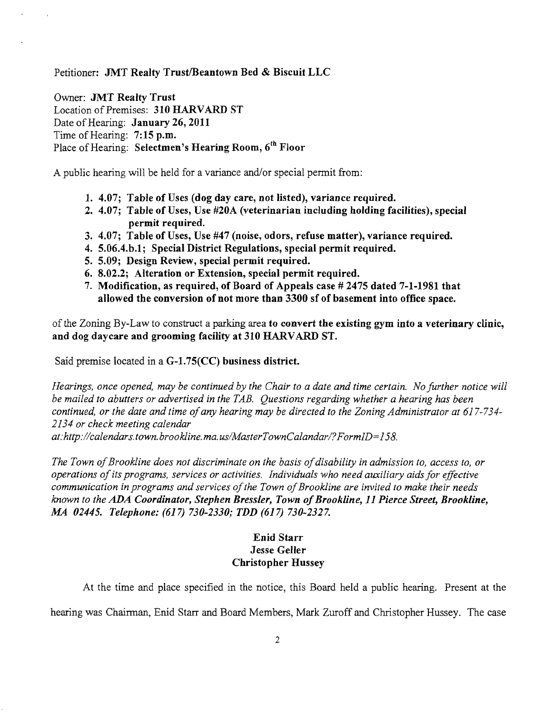Petitioner: JMT Realty Trust/Beantown Bed & Biscuit LLC

Owner: JMT Realty Trust Location of Premises: 310 HARVARD ST Date of Hearing: January 26, 2011 Time of Hearing: 7:15 p.m. Place of Hearing: Selectmen's Hearing Room, 6<sup>th</sup> Floor

A public hearing will be held for a variance and/or special permit from:

- 1. 4.07; Table of Uses (dog day care, not listed), variance required.
- 2. 4.07; Table of Uses, Use #20A (veterinarian including holding facilities), special permit required.
- 3. 4.07; Table of Uses, Use #47 (noise, odors, refuse matter), variance required.
- 4. 5.06.4.b.1; Special District Regulations, special permit required.
- 5. 5.09; Design Review, special permit required.
- 6. 8.02.2; Alteration or Extension, special permit required.
- 7. Modification, as required, of Board of Appeals case # 2475 dated 7-1-1981 that allowed the conversion of not more than 3300 sf of basement into office space.

of the Zoning By-Law to construct a parking area to convert the existing gym into a veterinary clinic, and dog daycare and grooming facility at 310 HARVARD ST.

Said premise located in a G-1.75(CC) business district.

*Hearings, once opened, may be continued by the Chair to a date and time certain. No further notice will be mailed to abutters or advertised in the TAB. Questions regarding whether a hearing has been continued, or the date and time ofany hearing may be directed to the Zoning Administrator at 617-734 2134 or check meeting calendar* 

*at:http://calendars. town. brookline. rna. uslMasterTownCalandarl?FormID=158.* 

The Town of Brookline does not discriminate on the basis of disability in admission to, access to, or *operations ofits programs, services or activities. Individuals who need auxiliary aids for effective*  communication in programs and services of the Town of Brookline are invited to make their needs *known to the ADA Coordinator, Stephen Bressler, Town ofBrookline,* 11 *Pierce Street, Brookline, MA 02445. Telephone:* (617) *730-2330; TDD* (617) *730-2327.* 

# Enid Starr Jesse Geller Christopher Hussey

At the time and place specified in the notice, this Board held a public hearing. Present at the hearing was Chairman, Enid Starr and Board Members, Mark Zuroff and Christopher Hussey. The case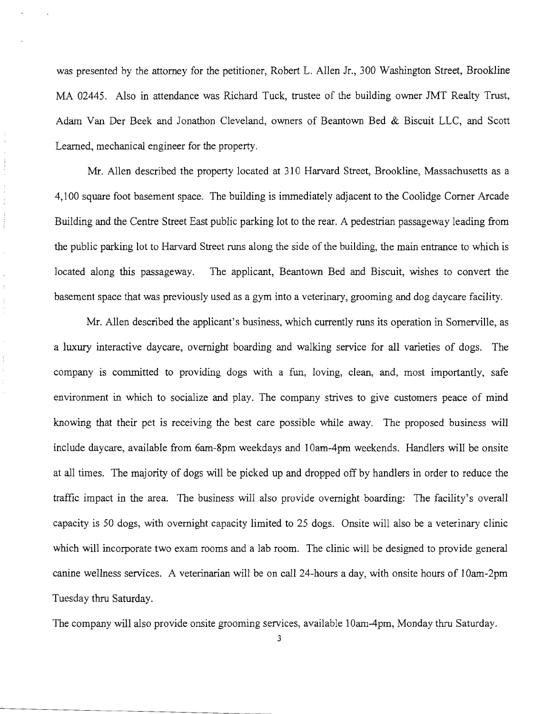was presented by the attorney for the petitioner, Robert L. Allen Jr., 300 Washington Street, Brookline MA 02445. Also in attendance was Richard Tuck, trustee of the building owner JMT Realty Trust, Adam Van Der Beek and Jonathon Cleveland, owners of Beantown Bed & Biscuit LLC, and Scott Learned, mechanical engineer for the property.

Mr. Allen described the property located at 310 Harvard Street, Brookline, Massachusetts as a 4,100 square foot basement space. The building is immediately adjacent to the Coolidge Corner Arcade Building and the Centre Street East public parking lot to the rear. A pedestrian passageway leading from the public parking lot to Harvard Street runs along the side of the building, the main entrance to which is located along this passageway. The applicant, Beantown Bed and Biscuit, wishes to convert the basement space that was previously used as a gym into a veterinary, grooming and dog daycare facility.

 $\frac{1}{2}$  $\frac{1}{2}$ 

> Mr. Allen described the applicant's business, which currently runs its operation in Somerville, as a luxury interactive daycare, overnight boarding and walking service for all varieties of dogs. The company is committed to providing dogs with a fun, loving, clean, and, most importantly, safe environment in which to socialize and play. The company strives to give customers peace of mind knowing that their pet is receiving the best care possible while away. The proposed business will include daycare, available from 6am-8pm weekdays and 10am-4pm weekends. Handlers will be onsite at all times. The majority of dogs will be picked up and dropped off by handlers in order to reduce the traffic impact in the area. The business will also provide overnight boarding: The facility's overall capacity is 50 dogs, with overnight capacity limited to 25 dogs. Onsite will also be a veterinary clinic which will incorporate two exam rooms and a lab room. The clinic will be designed to provide general canine wellness services. A veterinarian will be on call 24-hours a day, with onsite hours of IOam-2pm Tuesday thru Saturday.

The company will also provide onsite grooming services, available 10am-4pm, Monday thru Saturday.

3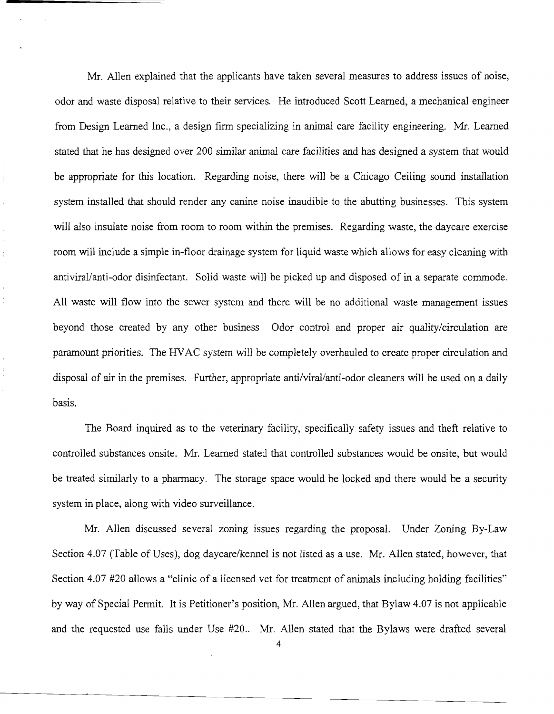Mr. Allen explained that the applicants have taken several measures to address issues of noise, odor and waste disposal relative to their services. He introduced Scott Learned, a mechanical engineer from Design Learned Inc., a design firm specializing in animal care facility engineering. Mr. Learned stated that he has designed over 200 similar animal care facilities and has designed a system that would be appropriate for this location. Regarding noise, there will be a Chicago Ceiling sound installation system installed that should render any canine noise inaudible to the abutting businesses. This system will also insulate noise from room to room within the premises. Regarding waste, the daycare exercise room will include a simple in-floor drainage system for liquid waste which allows for easy cleaning with antiviral/anti-odor disinfectant. Solid waste will be picked up and disposed of in a separate commode. All waste will flow into the sewer system and there will be no additional waste management issues beyond those created by any other business Odor control and proper air quality/circulation are paramount priorities. The HVAC system will be completely overhauled to create proper circulation and disposal of air in the premises. Further, appropriate anti/viral/anti-odor cleaners will be used on a daily basis.

The Board inquired as to the veterinary facility, specifically safety issues and theft relative to controlled substances onsite. Mr. Learned stated that controlled substances would be onsite, but would be treated similarly to a pharmacy. The storage space would be locked and there would be a security system in place, along with video surveillance.

Mr. Allen discussed several zoning issues regarding the proposal. Under Zoning By-Law Section 4.07 (Table of Uses), dog daycare/kennel is not listed as a use. Mr. Allen stated, however, that Section 4.07 #20 allows a "clinic of a licensed vet for treatment of animals including holding facilities" by way of Special Permit. It is Petitioner's position, Mr. Allen argued, that Bylaw 4.07 is not applicable and the requested use falls under Use #20.. Mr. Allen stated that the Bylaws were drafted several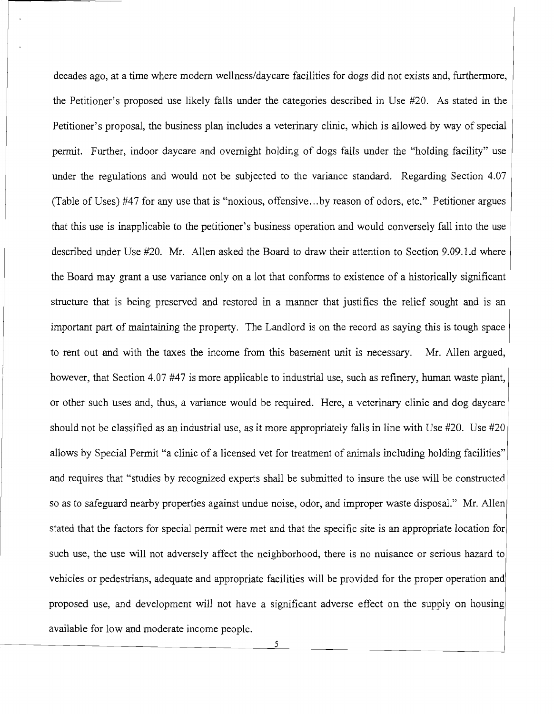decades ago, at a time where modern wellness/daycare facilities for dogs did not exists and, furthermore, the Petitioner's proposed use likely falls under the categories described in Use #20. As stated in the Petitioner's proposal, the business plan includes a veterinary clinic, which is allowed by way of special permit. Further, indoor daycare and overnight holding of dogs falls under the "holding facility" use under the regulations and would not be subjected to the variance standard. Regarding Section 4.07 (Table of Uses) #47 for any use that is "noxious, offensive...by reason of odors, etc." Petitioner argues that this use is inapplicable to the petitioner's business operation and would conversely fall into the use described under Use #20. Mr. Allen asked the Board to draw their attention to Section 9.09.l.d where the Board may grant a use variance only on a lot that conforms to existence of a historically significant structure that is being preserved and restored in a manner that justifies the relief sought and is an important part of maintaining the property. The Landlord is on the record as saying this is tough space to rent out and with the taxes the income from this basement unit is necessary. Mr. Allen argued, however, that Section 4.07 #47 is more applicable to industrial use, such as refinery, human waste plant, or other such uses and, thus, a variance would be required. Here, a veterinary clinic and dog daycare should not be classified as an industrial use, as it more appropriately falls in line with Use #20. Use #20 allows by Special Permit "a clinic of a licensed vet for treatment of animals including holding facilities" and requires that "studies by recognized experts shall be submitted to insure the use will be constructed so as to safeguard nearby properties against undue noise, odor, and improper waste disposal." Mr. Allen stated that the factors for special permit were met and that the specific site is an appropriate location for such use, the use will not adversely affect the neighborhood, there is no nuisance or serious hazard to vehicles or pedestrians, adequate and appropriate facilities will be provided for the proper operation and proposed use, and development will not have a significant adverse effect on the supply on housing available for low and moderate income people.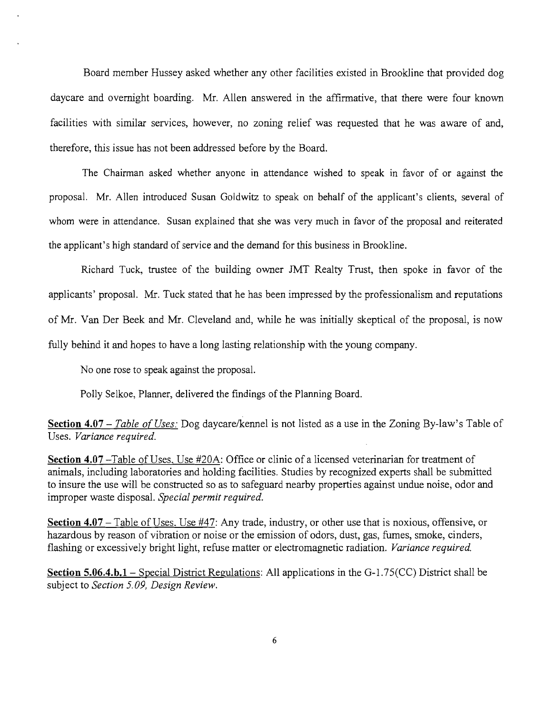Board member Hussey asked whether any other facilities existed in Brookline that provided dog daycare and overnight boarding. Mr. Allen answered in the affirmative, that there were four known facilities with similar services, however, no zoning relief was requested that he was aware of and, therefore, this issue has not been addressed before by the Board.

The Chairman asked whether anyone in attendance wished to speak in favor of or against the proposal. Mr. Allen introduced Susan Goldwitz to speak on behalf of the applicant's clients, several of whom were in attendance. Susan explained that she was very much in favor of the proposal and reiterated the applicant's high standard of service and the demand for this business in Brookline.

Richard Tuck, trustee of the building owner JMT Realty Trust, then spoke in favor of the applicants' proposal. Mr. Tuck stated that he has been impressed by the professionalism and reputations of Mr. Van Der Beek and Mr. Cleveland and, while he was initially skeptical of the proposal, is now fully behind it and hopes to have a long lasting relationship with the young company.

No one rose to speak against the proposal.

Polly Selkoe, Planner, delivered the findings of the Planning Board.

**Section 4.07** – *Table of Uses:* Dog daycare/kennel is not listed as a use in the Zoning By-law's Table of Uses. *Variance required.* 

**Section 4.07** -Table of Uses, Use #20A: Office or clinic of a licensed veterinarian for treatment of animals, including laboratories and holding facilities. Studies by recognized experts shall be submitted to insure the use will be constructed so as to safeguard nearby properties against undue noise, odor and improper waste disposal. *Special permit required.* 

**Section 4.07** – Table of Uses, Use #47: Any trade, industry, or other use that is noxious, offensive, or hazardous by reason of vibration or noise or the emission of odors, dust, gas, fumes, smoke, cinders, flashing or excessively bright light, refuse matter or electromagnetic radiation. *Variance required.* 

**Section 5.06.4.b.l-** Special District Regulations: All applications in the G-1.75(CC) District shall be subject to *Section 5.09, Design Review.* 

6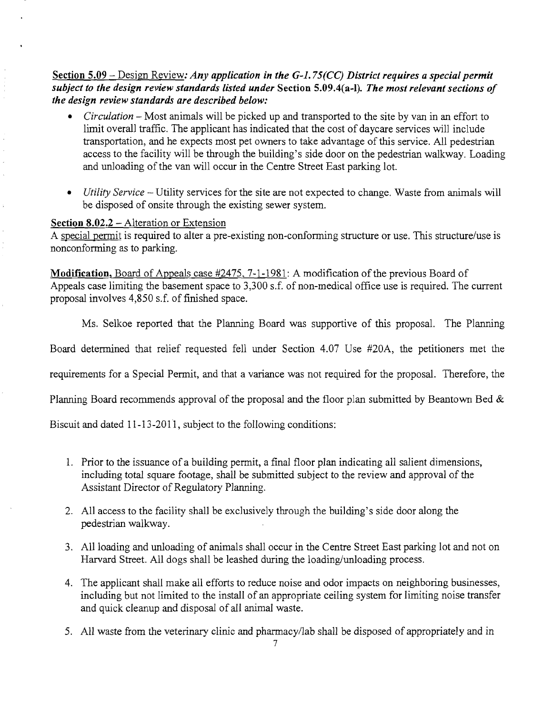## Section 5.09 - Design Review: *Any application in the G-l. 75(CC) District requires a special permit subject to the design review standards listed under* Section 5.09.4(a-l). *The most relevant sections of the design review standards are described below:*

- *Circulation* Most animals will be picked up and transported to the site by van in an effort to limit overall traffic. The applicant has indicated that the cost of daycare services will include transportation, and he expects most pet owners to take advantage of this service. All pedestrian access to the facility will be through the building's side door on the pedestrian walkway. Loading and unloading of the van will occur in the Centre Street East parking lot.
- *• Utility Service*  Utility services for the site are not expected to change. Waste from animals will be disposed of onsite through the existing sewer system.

### Section 8.02.2 - Alteration or Extension

 $\hat{\lambda}$ 

 $\bar{\chi}$ 

A special permit is required to alter a pre-existing non-conforming structure or use. This structure/use is nonconforming as to parking.

Modification, Board of Appeals case #2475, 7-1-1981: A modification of the previous Board of Appeals case limiting the basement space to 3,300 s.f. of non-medical office use is required. The current proposal involves 4,850 s.f. of finished space.

Ms. Selkoe reported that the Planning Board was supportive of this proposal. The Planning

Board determined that relief requested fell under Section 4.07 Use #20A, the petitioners met the

requirements for a Special Permit, and that a variance was not required for the proposal. Therefore, the

Planning Board recommends approval of the proposal and the floor plan submitted by Beantown Bed &

Biscuit and dated 11-13-2011, subject to the following conditions:

- 1. Prior to the issuance of a building permit, a final floor plan indicating all salient dimensions, including total square footage, shall be submitted subject to the review and approval of the Assistant Director of Regulatory Planning.
- 2. All access to the facility shall be exclusively through the building's side door along the pedestrian walkway.
- 3. All loading and unloading of animals shall occur in the Centre Street East parking lot and not on Harvard Street. All dogs shall be leashed during the loading/unloading process.
- 4. The applicant shall make all efforts to reduce noise and odor impacts on neighboring businesses, including but not limited to the install of an appropriate ceiling system for limiting noise transfer and quick cleanup and disposal of all animal waste.
- 5. All waste from the veterinary clinic and pharmacy/lab shall be disposed of appropriately and in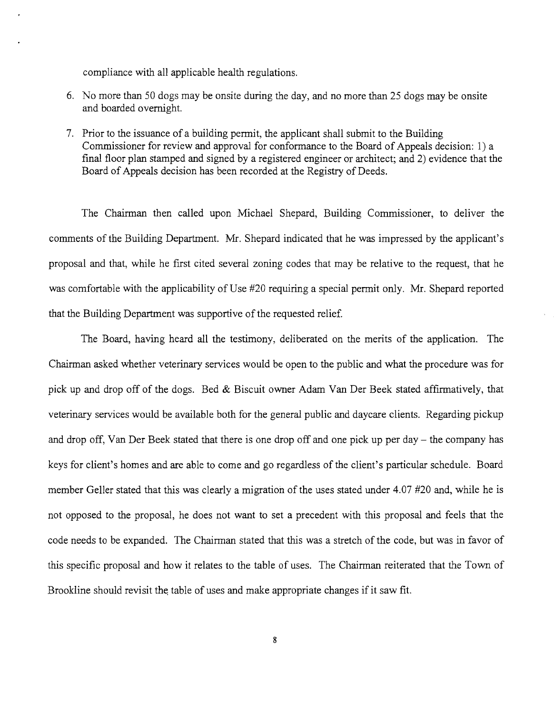compliance with all applicable health regulations.

- 6. No more than 50 dogs may be onsite during the day, and no more than 25 dogs may be onsite and boarded overnight.
- 7. Prior to the issuance of a building permit, the applicant shall submit to the Building Commissioner for review and approval for conformance to the Board of Appeals decision: 1) a final floor plan stamped and signed by a registered engineer or architect; and 2) evidence that the Board of Appeals decision has been recorded at the Registry of Deeds.

The Chairman then called upon Michael Shepard, Building Commissioner, to deliver the comments of the Building Department. Mr. Shepard indicated that he was impressed by the applicant's proposal and that, while he first cited several zoning codes that may be relative to the request, that he was comfortable with the applicability of Use #20 requiring a special permit only. Mr. Shepard reported that the Building Department was supportive of the requested relief.

The Board, having heard all the testimony, deliberated on the merits of the application. The Chairman asked whether veterinary services would be open to the public and what the procedure was for pick up and drop off of the dogs. Bed  $&$  Biscuit owner Adam Van Der Beek stated affirmatively, that veterinary services would be available both for the general public and daycare clients. Regarding pickup and drop off, Van Der Beek stated that there is one drop off and one pick up per day – the company has keys for client's homes and are able to come and go regardless of the client's particular schedule. Board member Geller stated that this was clearly a migration of the uses stated under 4.07 #20 and, while he is not opposed to the proposal, he does not want to set a precedent with this proposal and feels that the code needs to be expanded. The Chairman stated that this was a stretch of the code, but was in favor of this specific proposal and how it relates to the table of uses. The Chairman reiterated that the Town of Brookline should revisit the table of uses and make appropriate changes if it saw fit.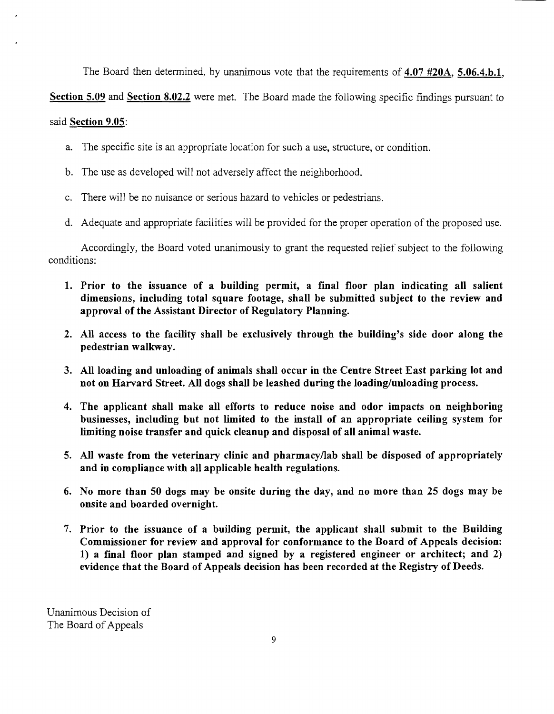The Board then determined, by unanimous vote that the requirements of 4.07 #20A, 5.06.4.b.1,

Section 5.09 and Section 8.02.2 were met. The Board made the following specific findings pursuant to

### said Section 9.05:

- a. The specific site is an appropriate location for such a use, structure, or condition.
- b. The use as developed will not adversely affect the neighborhood.
- c. There will be no nuisance or serious hazard to vehicles or pedestrians.
- d. Adequate and appropriate facilities will be provided for the proper operation of the proposed use.

Accordingly, the Board voted unanimously to grant the requested relief subject to the following conditions:

- 1. Prior to the issuance of a building permit, a final floor plan indicating all salient dimensions, including total square footage, shall be submitted subject to the review and approval of the Assistant Director of Regulatory Planning.
- 2. All access to the facility shall be exclusively through the building's side door along the pedestrian walkway.
- 3. All loading and unloading of animals shall occur in the Centre Street East parking lot and not on Harvard Street. All dogs shall be leashed during the loading/unloading process.
- 4. The applicant shall make all efforts to reduce noise and odor impacts on neighboring businesses, including but not limited to the install of an appropriate ceiling system for limiting noise transfer and quick cleanup and disposal of all animal waste.
- 5. All waste from the veterinary clinic and pharmacy/lab shall be disposed of appropriately and in compliance with all applicable health regulations.
- 6. No more than 50 dogs may be onsite during the day, and no more than 25 dogs may be onsite and boarded overnight.
- 7. Prior to the issuance of a building permit, the applicant shall submit to the Building Commissioner for review and approval for conformance to the Board of Appeals decision: 1) a final floor plan stamped and signed by a registered engineer or architect; and 2) evidence that the Board of Appeals decision has been recorded at the Registry of Deeds.

Unanimous Decision of The Board of Appeals